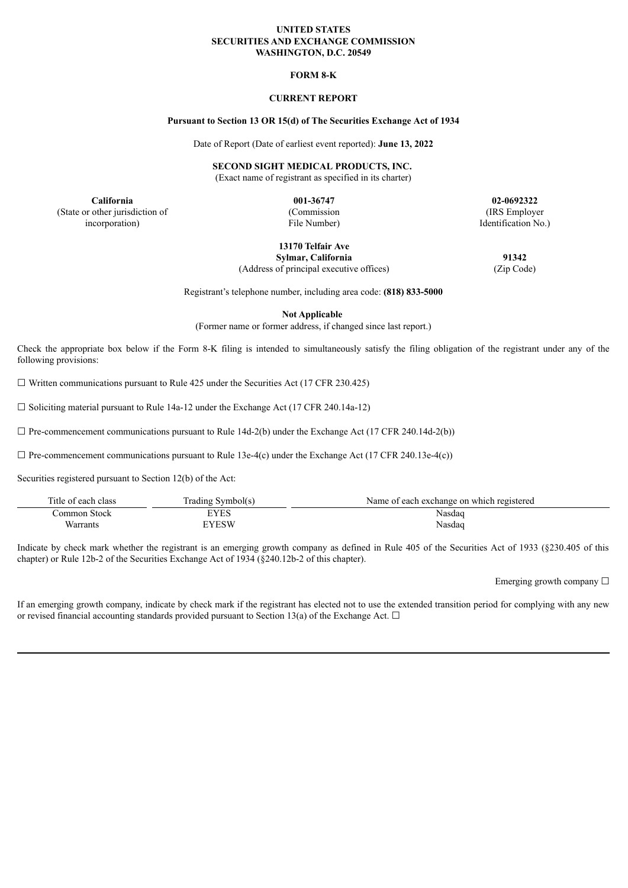#### **UNITED STATES SECURITIES AND EXCHANGE COMMISSION WASHINGTON, D.C. 20549**

## **FORM 8-K**

## **CURRENT REPORT**

#### **Pursuant to Section 13 OR 15(d) of The Securities Exchange Act of 1934**

Date of Report (Date of earliest event reported): **June 13, 2022**

**SECOND SIGHT MEDICAL PRODUCTS, INC.**

(Exact name of registrant as specified in its charter)

**California 001-36747 02-0692322** (State or other jurisdiction of incorporation)

(Commission File Number)

(IRS Employer Identification No.)

**13170 Telfair Ave Sylmar, California 91342**

(Address of principal executive offices) (Zip Code)

Registrant's telephone number, including area code: **(818) 833-5000**

**Not Applicable**

(Former name or former address, if changed since last report.)

Check the appropriate box below if the Form 8-K filing is intended to simultaneously satisfy the filing obligation of the registrant under any of the following provisions:

 $\Box$  Written communications pursuant to Rule 425 under the Securities Act (17 CFR 230.425)

 $\Box$  Soliciting material pursuant to Rule 14a-12 under the Exchange Act (17 CFR 240.14a-12)

 $\Box$  Pre-commencement communications pursuant to Rule 14d-2(b) under the Exchange Act (17 CFR 240.14d-2(b))

 $\Box$  Pre-commencement communications pursuant to Rule 13e-4(c) under the Exchange Act (17 CFR 240.13e-4(c))

Securities registered pursuant to Section 12(b) of the Act:

| Title of each class | Trading Svmbol(s) | Name of each exchange on which registered |
|---------------------|-------------------|-------------------------------------------|
| Common Stock        | EYES              | Nasdag                                    |
| Warrants            | EYESW             | Nasdaq                                    |

Indicate by check mark whether the registrant is an emerging growth company as defined in Rule 405 of the Securities Act of 1933 (§230.405 of this chapter) or Rule 12b-2 of the Securities Exchange Act of 1934 (§240.12b-2 of this chapter).

Emerging growth company □

If an emerging growth company, indicate by check mark if the registrant has elected not to use the extended transition period for complying with any new or revised financial accounting standards provided pursuant to Section 13(a) of the Exchange Act.  $\Box$